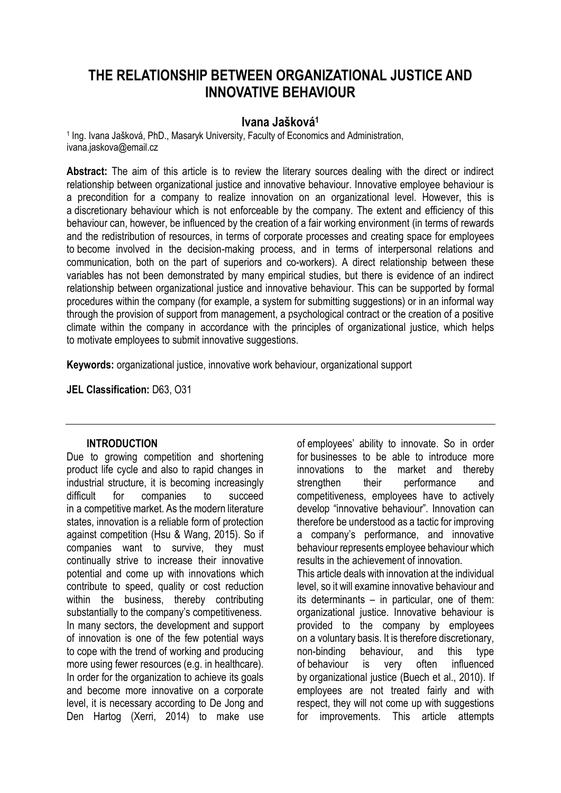# **THE RELATIONSHIP BETWEEN ORGANIZATIONAL JUSTICE AND INNOVATIVE BEHAVIOUR**

# **Ivana Jašková<sup>1</sup>**

<sup>1</sup> Ing. Ivana Jašková, PhD., Masaryk University, Faculty of Economics and Administration, ivana.jaskova@email.cz

**Abstract:** The aim of this article is to review the literary sources dealing with the direct or indirect relationship between organizational justice and innovative behaviour. Innovative employee behaviour is a precondition for a company to realize innovation on an organizational level. However, this is a discretionary behaviour which is not enforceable by the company. The extent and efficiency of this behaviour can, however, be influenced by the creation of a fair working environment (in terms of rewards and the redistribution of resources, in terms of corporate processes and creating space for employees to become involved in the decision-making process, and in terms of interpersonal relations and communication, both on the part of superiors and co-workers). A direct relationship between these variables has not been demonstrated by many empirical studies, but there is evidence of an indirect relationship between organizational justice and innovative behaviour. This can be supported by formal procedures within the company (for example, a system for submitting suggestions) or in an informal way through the provision of support from management, a psychological contract or the creation of a positive climate within the company in accordance with the principles of organizational justice, which helps to motivate employees to submit innovative suggestions.

**Keywords:** organizational justice, innovative work behaviour, organizational support

**JEL Classification:** D63, O31

#### **INTRODUCTION**

Due to growing competition and shortening product life cycle and also to rapid changes in industrial structure, it is becoming increasingly difficult for companies to succeed in a competitive market. As the modern literature states, innovation is a reliable form of protection against competition (Hsu & Wang, 2015). So if companies want to survive, they must continually strive to increase their innovative potential and come up with innovations which contribute to speed, quality or cost reduction within the business, thereby contributing substantially to the company's competitiveness. In many sectors, the development and support of innovation is one of the few potential ways to cope with the trend of working and producing more using fewer resources (e.g. in healthcare). In order for the organization to achieve its goals and become more innovative on a corporate level, it is necessary according to De Jong and Den Hartog (Xerri, 2014) to make use

of employees' ability to innovate. So in order for businesses to be able to introduce more innovations to the market and thereby strengthen their performance and competitiveness, employees have to actively develop "innovative behaviour". Innovation can therefore be understood as a tactic for improving a company's performance, and innovative behaviour represents employee behaviour which results in the achievement of innovation. This article deals with innovation at the individual level, so it will examine innovative behaviour and its determinants – in particular, one of them: organizational justice. Innovative behaviour is provided to the company by employees on a voluntary basis. It is therefore discretionary, non-binding behaviour, and this type of behaviour is very often influenced by organizational justice (Buech et al., 2010). If employees are not treated fairly and with respect, they will not come up with suggestions for improvements. This article attempts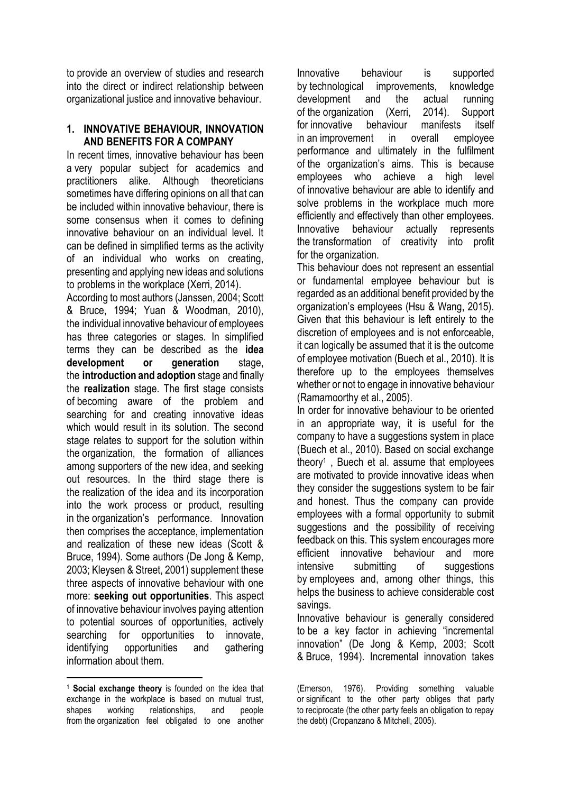to provide an overview of studies and research into the direct or indirect relationship between organizational justice and innovative behaviour.

#### **1. INNOVATIVE BEHAVIOUR, INNOVATION AND BENEFITS FOR A COMPANY**

In recent times, innovative behaviour has been a very popular subject for academics and practitioners alike. Although theoreticians sometimes have differing opinions on all that can be included within innovative behaviour, there is some consensus when it comes to defining innovative behaviour on an individual level. It can be defined in simplified terms as the activity of an individual who works on creating, presenting and applying new ideas and solutions to problems in the workplace (Xerri, 2014).

According to most authors (Janssen, 2004; Scott & Bruce, 1994; Yuan & Woodman, 2010), the individual innovative behaviour of employees has three categories or stages. In simplified terms they can be described as the **idea development or generation** stage, the **introduction and adoption** stage and finally the **realization** stage. The first stage consists of becoming aware of the problem and searching for and creating innovative ideas which would result in its solution. The second stage relates to support for the solution within the organization, the formation of alliances among supporters of the new idea, and seeking out resources. In the third stage there is the realization of the idea and its incorporation into the work process or product, resulting in the organization's performance. Innovation then comprises the acceptance, implementation and realization of these new ideas (Scott & Bruce, 1994). Some authors (De Jong & Kemp, 2003; Kleysen & Street, 2001) supplement these three aspects of innovative behaviour with one more: **seeking out opportunities**. This aspect of innovative behaviour involves paying attention to potential sources of opportunities, actively searching for opportunities to innovate, identifying opportunities and gathering information about them.

<u>.</u> <sup>1</sup> **Social exchange theory** is founded on the idea that exchange in the workplace is based on mutual trust, shapes working relationships, and people from the organization feel obligated to one another

Innovative behaviour is supported by technological improvements, knowledge development and the actual running of the organization (Xerri, 2014). Support for innovative behaviour manifests itself in an improvement in overall employee performance and ultimately in the fulfilment of the organization's aims. This is because employees who achieve a high level of innovative behaviour are able to identify and solve problems in the workplace much more efficiently and effectively than other employees. Innovative behaviour actually represents the transformation of creativity into profit for the organization.

This behaviour does not represent an essential or fundamental employee behaviour but is regarded as an additional benefit provided by the organization's employees (Hsu & Wang, 2015). Given that this behaviour is left entirely to the discretion of employees and is not enforceable, it can logically be assumed that it is the outcome of employee motivation (Buech et al., 2010). It is therefore up to the employees themselves whether or not to engage in innovative behaviour (Ramamoorthy et al., 2005).

In order for innovative behaviour to be oriented in an appropriate way, it is useful for the company to have a suggestions system in place (Buech et al., 2010). Based on social exchange theory<sup>1</sup> , Buech et al. assume that employees are motivated to provide innovative ideas when they consider the suggestions system to be fair and honest. Thus the company can provide employees with a formal opportunity to submit suggestions and the possibility of receiving feedback on this. This system encourages more efficient innovative behaviour and more intensive submitting of suggestions by employees and, among other things, this helps the business to achieve considerable cost savings.

Innovative behaviour is generally considered to be a key factor in achieving "incremental innovation" (De Jong & Kemp, 2003; Scott & Bruce, 1994). Incremental innovation takes

<sup>(</sup>Emerson, 1976). Providing something valuable or significant to the other party obliges that party to reciprocate (the other party feels an obligation to repay the debt) (Cropanzano & Mitchell, 2005).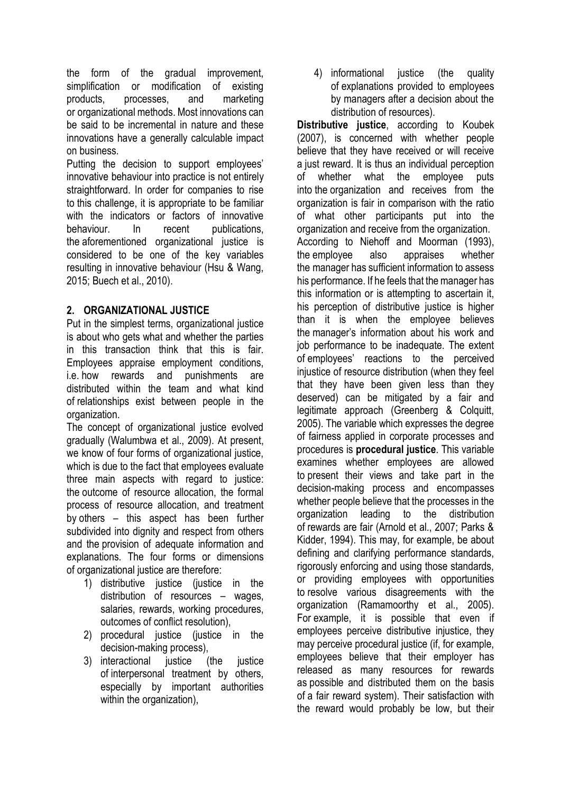the form of the gradual improvement, simplification or modification of existing products, processes, and marketing or organizational methods. Most innovations can be said to be incremental in nature and these innovations have a generally calculable impact on business.

Putting the decision to support employees' innovative behaviour into practice is not entirely straightforward. In order for companies to rise to this challenge, it is appropriate to be familiar with the indicators or factors of innovative behaviour. In recent publications, the aforementioned organizational justice is considered to be one of the key variables resulting in innovative behaviour (Hsu & Wang, 2015; Buech et al., 2010).

# **2. ORGANIZATIONAL JUSTICE**

Put in the simplest terms, organizational justice is about who gets what and whether the parties in this transaction think that this is fair. Employees appraise employment conditions, i.e. how rewards and punishments are distributed within the team and what kind of relationships exist between people in the organization.

The concept of organizational justice evolved gradually (Walumbwa et al., 2009). At present, we know of four forms of organizational justice, which is due to the fact that employees evaluate three main aspects with regard to justice: the outcome of resource allocation, the formal process of resource allocation, and treatment by others – this aspect has been further subdivided into dignity and respect from others and the provision of adequate information and explanations. The four forms or dimensions of organizational justice are therefore:

- 1) distributive justice (justice in the distribution of resources – wages, salaries, rewards, working procedures, outcomes of conflict resolution),
- 2) procedural justice (justice in the decision-making process),
- 3) interactional iustice (the justice of interpersonal treatment by others, especially by important authorities within the organization),

4) informational justice (the quality of explanations provided to employees by managers after a decision about the distribution of resources).

**Distributive justice**, according to Koubek (2007), is concerned with whether people believe that they have received or will receive a just reward. It is thus an individual perception of whether what the employee puts into the organization and receives from the organization is fair in comparison with the ratio of what other participants put into the organization and receive from the organization. According to Niehoff and Moorman (1993), the employee also appraises whether the manager has sufficient information to assess his performance. If he feels that the manager has this information or is attempting to ascertain it, his perception of distributive justice is higher than it is when the employee believes the manager's information about his work and job performance to be inadequate. The extent of employees' reactions to the perceived injustice of resource distribution (when they feel that they have been given less than they deserved) can be mitigated by a fair and legitimate approach (Greenberg & Colquitt, 2005). The variable which expresses the degree of fairness applied in corporate processes and procedures is **procedural justice**. This variable examines whether employees are allowed to present their views and take part in the decision-making process and encompasses whether people believe that the processes in the organization leading to the distribution of rewards are fair (Arnold et al., 2007; Parks & Kidder, 1994). This may, for example, be about defining and clarifying performance standards, rigorously enforcing and using those standards, or providing employees with opportunities to resolve various disagreements with the organization (Ramamoorthy et al., 2005). For example, it is possible that even if employees perceive distributive injustice, they may perceive procedural justice (if, for example, employees believe that their employer has released as many resources for rewards as possible and distributed them on the basis of a fair reward system). Their satisfaction with the reward would probably be low, but their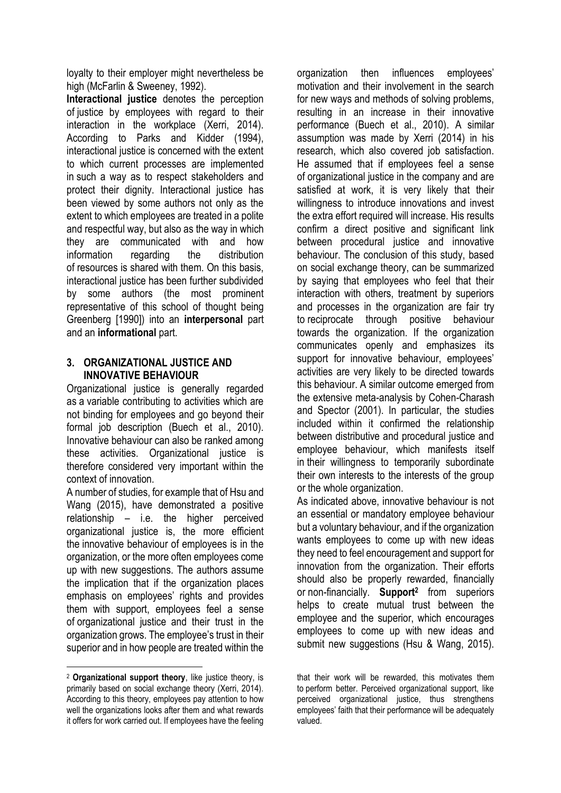loyalty to their employer might nevertheless be high (McFarlin & Sweeney, 1992).

**Interactional justice** denotes the perception of justice by employees with regard to their interaction in the workplace (Xerri, 2014). According to Parks and Kidder (1994), interactional justice is concerned with the extent to which current processes are implemented in such a way as to respect stakeholders and protect their dignity. Interactional justice has been viewed by some authors not only as the extent to which employees are treated in a polite and respectful way, but also as the way in which they are communicated with and how information regarding the distribution of resources is shared with them. On this basis, interactional justice has been further subdivided by some authors (the most prominent representative of this school of thought being Greenberg [1990]) into an **interpersonal** part and an **informational** part.

### **3. ORGANIZATIONAL JUSTICE AND INNOVATIVE BEHAVIOUR**

Organizational justice is generally regarded as a variable contributing to activities which are not binding for employees and go beyond their formal job description (Buech et al., 2010). Innovative behaviour can also be ranked among these activities. Organizational justice is therefore considered very important within the context of innovation.

A number of studies, for example that of Hsu and Wang (2015), have demonstrated a positive relationship – i.e. the higher perceived organizational justice is, the more efficient the innovative behaviour of employees is in the organization, or the more often employees come up with new suggestions. The authors assume the implication that if the organization places emphasis on employees' rights and provides them with support, employees feel a sense of organizational justice and their trust in the organization grows. The employee's trust in their superior and in how people are treated within the

<u>.</u>

organization then influences employees' motivation and their involvement in the search for new ways and methods of solving problems, resulting in an increase in their innovative performance (Buech et al., 2010). A similar assumption was made by Xerri (2014) in his research, which also covered job satisfaction. He assumed that if employees feel a sense of organizational justice in the company and are satisfied at work, it is very likely that their willingness to introduce innovations and invest the extra effort required will increase. His results confirm a direct positive and significant link between procedural justice and innovative behaviour. The conclusion of this study, based on social exchange theory, can be summarized by saying that employees who feel that their interaction with others, treatment by superiors and processes in the organization are fair try to reciprocate through positive behaviour towards the organization. If the organization communicates openly and emphasizes its support for innovative behaviour, employees' activities are very likely to be directed towards this behaviour. A similar outcome emerged from the extensive meta-analysis by Cohen-Charash and Spector (2001). In particular, the studies included within it confirmed the relationship between distributive and procedural justice and employee behaviour, which manifests itself in their willingness to temporarily subordinate their own interests to the interests of the group or the whole organization.

As indicated above, innovative behaviour is not an essential or mandatory employee behaviour but a voluntary behaviour, and if the organization wants employees to come up with new ideas they need to feel encouragement and support for innovation from the organization. Their efforts should also be properly rewarded, financially or non-financially. **Support<sup>2</sup>** from superiors helps to create mutual trust between the employee and the superior, which encourages employees to come up with new ideas and submit new suggestions (Hsu & Wang, 2015).

<sup>2</sup> **Organizational support theory**, like justice theory, is primarily based on social exchange theory (Xerri, 2014). According to this theory, employees pay attention to how well the organizations looks after them and what rewards it offers for work carried out. If employees have the feeling

that their work will be rewarded, this motivates them to perform better. Perceived organizational support, like perceived organizational justice, thus strengthens employees' faith that their performance will be adequately valued.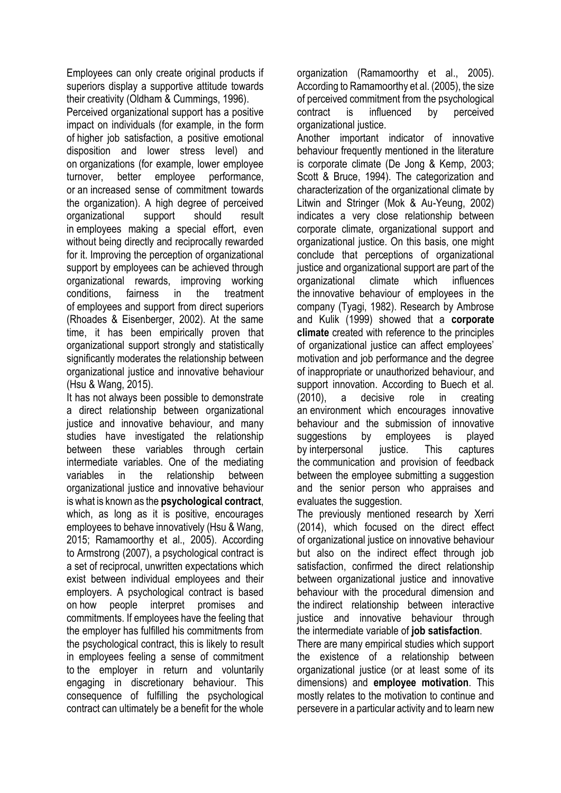Employees can only create original products if superiors display a supportive attitude towards their creativity (Oldham & Cummings, 1996).

Perceived organizational support has a positive impact on individuals (for example, in the form of higher job satisfaction, a positive emotional disposition and lower stress level) and on organizations (for example, lower employee turnover, better employee performance, or an increased sense of commitment towards the organization). A high degree of perceived organizational support should result in employees making a special effort, even without being directly and reciprocally rewarded for it. Improving the perception of organizational support by employees can be achieved through organizational rewards, improving working conditions, fairness in the treatment of employees and support from direct superiors (Rhoades & Eisenberger, 2002). At the same time, it has been empirically proven that organizational support strongly and statistically significantly moderates the relationship between organizational justice and innovative behaviour (Hsu & Wang, 2015).

It has not always been possible to demonstrate a direct relationship between organizational justice and innovative behaviour, and many studies have investigated the relationship between these variables through certain intermediate variables. One of the mediating variables in the relationship between organizational justice and innovative behaviour is what is known as the **psychological contract**, which, as long as it is positive, encourages employees to behave innovatively (Hsu & Wang, 2015; Ramamoorthy et al., 2005). According to Armstrong (2007), a psychological contract is a set of reciprocal, unwritten expectations which exist between individual employees and their employers. A psychological contract is based on how people interpret promises and commitments. If employees have the feeling that the employer has fulfilled his commitments from the psychological contract, this is likely to result in employees feeling a sense of commitment to the employer in return and voluntarily engaging in discretionary behaviour. This consequence of fulfilling the psychological contract can ultimately be a benefit for the whole organization (Ramamoorthy et al., 2005). According to Ramamoorthy et al. (2005), the size of perceived commitment from the psychological contract is influenced by perceived organizational justice.

Another important indicator of innovative behaviour frequently mentioned in the literature is corporate climate (De Jong & Kemp, 2003; Scott & Bruce, 1994). The categorization and characterization of the organizational climate by Litwin and Stringer (Mok & Au-Yeung, 2002) indicates a very close relationship between corporate climate, organizational support and organizational justice. On this basis, one might conclude that perceptions of organizational justice and organizational support are part of the organizational climate which influences the innovative behaviour of employees in the company (Tyagi, 1982). Research by Ambrose and Kulik (1999) showed that a **corporate climate** created with reference to the principles of organizational justice can affect employees' motivation and job performance and the degree of inappropriate or unauthorized behaviour, and support innovation. According to Buech et al. (2010), a decisive role in creating an environment which encourages innovative behaviour and the submission of innovative suggestions by employees is played by interpersonal justice. This captures the communication and provision of feedback between the employee submitting a suggestion and the senior person who appraises and evaluates the suggestion.

The previously mentioned research by Xerri (2014), which focused on the direct effect of organizational justice on innovative behaviour but also on the indirect effect through job satisfaction, confirmed the direct relationship between organizational justice and innovative behaviour with the procedural dimension and the indirect relationship between interactive justice and innovative behaviour through the intermediate variable of **job satisfaction**.

There are many empirical studies which support the existence of a relationship between organizational justice (or at least some of its dimensions) and **employee motivation**. This mostly relates to the motivation to continue and persevere in a particular activity and to learn new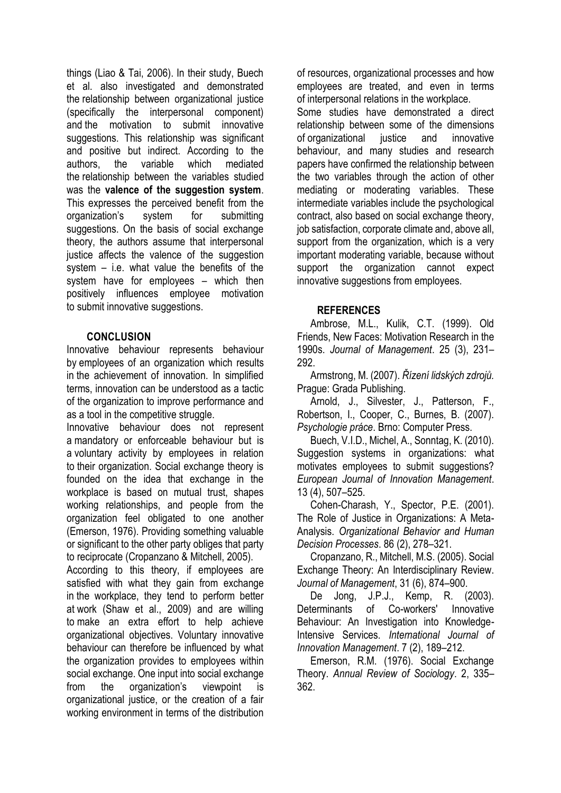things (Liao & Tai, 2006). In their study, Buech et al. also investigated and demonstrated the relationship between organizational justice (specifically the interpersonal component) and the motivation to submit innovative suggestions. This relationship was significant and positive but indirect. According to the authors, the variable which mediated the relationship between the variables studied was the **valence of the suggestion system**. This expresses the perceived benefit from the organization's system for submitting suggestions. On the basis of social exchange theory, the authors assume that interpersonal justice affects the valence of the suggestion system – i.e. what value the benefits of the system have for employees – which then positively influences employee motivation to submit innovative suggestions.

## **CONCLUSION**

Innovative behaviour represents behaviour by employees of an organization which results in the achievement of innovation. In simplified terms, innovation can be understood as a tactic of the organization to improve performance and as a tool in the competitive struggle.

Innovative behaviour does not represent a mandatory or enforceable behaviour but is a voluntary activity by employees in relation to their organization. Social exchange theory is founded on the idea that exchange in the workplace is based on mutual trust, shapes working relationships, and people from the organization feel obligated to one another (Emerson, 1976). Providing something valuable or significant to the other party obliges that party to reciprocate (Cropanzano & Mitchell, 2005).

According to this theory, if employees are satisfied with what they gain from exchange in the workplace, they tend to perform better at work (Shaw et al., 2009) and are willing to make an extra effort to help achieve organizational objectives. Voluntary innovative behaviour can therefore be influenced by what the organization provides to employees within social exchange. One input into social exchange from the organization's viewpoint is organizational justice, or the creation of a fair working environment in terms of the distribution

of resources, organizational processes and how employees are treated, and even in terms of interpersonal relations in the workplace. Some studies have demonstrated a direct relationship between some of the dimensions of organizational justice and innovative behaviour, and many studies and research papers have confirmed the relationship between the two variables through the action of other mediating or moderating variables. These intermediate variables include the psychological contract, also based on social exchange theory, job satisfaction, corporate climate and, above all, support from the organization, which is a very important moderating variable, because without support the organization cannot expect innovative suggestions from employees.

## **REFERENCES**

Ambrose, M.L., Kulik, C.T. (1999). Old Friends, New Faces: Motivation Research in the 1990s. *Journal of Management*. 25 (3), 231– 292.

Armstrong, M. (2007). *Řízení lidských zdrojů.* Prague: Grada Publishing.

Arnold, J., Silvester, J., Patterson, F., Robertson, I., Cooper, C., Burnes, B. (2007). *Psychologie práce*. Brno: Computer Press.

Buech, V.I.D., Michel, A., Sonntag, K. (2010). Suggestion systems in organizations: what motivates employees to submit suggestions? *European Journal of Innovation Management*. 13 (4), 507–525.

Cohen-Charash, Y., Spector, P.E. (2001). The Role of Justice in Organizations: A Meta-Analysis. *Organizational Behavior and Human Decision Processes*. 86 (2), 278–321.

Cropanzano, R., Mitchell, M.S. (2005). Social Exchange Theory: An Interdisciplinary Review. *Journal of Management*, 31 (6), 874–900.

De Jong, J.P.J., Kemp, R. (2003). Determinants of Co-workers' Innovative Behaviour: An Investigation into Knowledge-Intensive Services. *International Journal of Innovation Management*. 7 (2), 189–212.

Emerson, R.M. (1976). Social Exchange Theory. *Annual Review of Sociology*. 2, 335– 362.